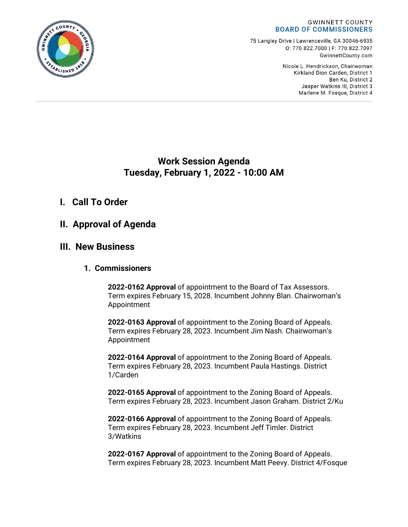

75 Langley Drive | Lawrenceville, GA 30046-6935 0:770.822.7000 | F: 770.822.7097 GwinnettCounty.com

> Nicole L. Hendrickson, Chairwoman Kirkland Dion Carden, District 1 Ben Ku. District 2 Jasper Watkins III, District 3 Marlene M. Fosque, District 4

# **Work Session Agenda Tuesday, February 1, 2022 - 10:00 AM**

# **I. Call To Order**

# **II. Approval of Agenda**

# **III. New Business**

## **1. Commissioners**

**2022-0162 Approval** of appointment to the Board of Tax Assessors. Term expires February 15, 2028. Incumbent Johnny Blan. Chairwoman's Appointment

**2022-0163 Approval** of appointment to the Zoning Board of Appeals. Term expires February 28, 2023. Incumbent Jim Nash. Chairwoman's Appointment

**2022-0164 Approval** of appointment to the Zoning Board of Appeals. Term expires February 28, 2023. Incumbent Paula Hastings. District 1/Carden

**2022-0165 Approval** of appointment to the Zoning Board of Appeals. Term expires February 28, 2023. Incumbent Jason Graham. District 2/Ku

**2022-0166 Approval** of appointment to the Zoning Board of Appeals. Term expires February 28, 2023. Incumbent Jeff Timler. District 3/Watkins

**2022-0167 Approval** of appointment to the Zoning Board of Appeals. Term expires February 28, 2023. Incumbent Matt Peevy. District 4/Fosque

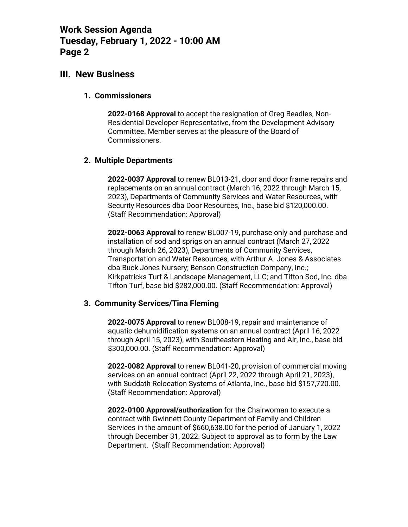# **III. New Business**

#### **1. Commissioners**

**2022-0168 Approval** to accept the resignation of Greg Beadles, Non-Residential Developer Representative, from the Development Advisory Committee. Member serves at the pleasure of the Board of Commissioners.

### **2. Multiple Departments**

**2022-0037 Approval** to renew BL013-21, door and door frame repairs and replacements on an annual contract (March 16, 2022 through March 15, 2023), Departments of Community Services and Water Resources, with Security Resources dba Door Resources, Inc., base bid \$120,000.00. (Staff Recommendation: Approval)

**2022-0063 Approval** to renew BL007-19, purchase only and purchase and installation of sod and sprigs on an annual contract (March 27, 2022 through March 26, 2023), Departments of Community Services, Transportation and Water Resources, with Arthur A. Jones & Associates dba Buck Jones Nursery; Benson Construction Company, Inc.; Kirkpatricks Turf & Landscape Management, LLC; and Tifton Sod, Inc. dba Tifton Turf, base bid \$282,000.00. (Staff Recommendation: Approval)

### **3. Community Services/Tina Fleming**

**2022-0075 Approval** to renew BL008-19, repair and maintenance of aquatic dehumidification systems on an annual contract (April 16, 2022 through April 15, 2023), with Southeastern Heating and Air, Inc., base bid \$300,000.00. (Staff Recommendation: Approval)

**2022-0082 Approval** to renew BL041-20, provision of commercial moving services on an annual contract (April 22, 2022 through April 21, 2023), with Suddath Relocation Systems of Atlanta, Inc., base bid \$157,720.00. (Staff Recommendation: Approval)

**2022-0100 Approval/authorization** for the Chairwoman to execute a contract with Gwinnett County Department of Family and Children Services in the amount of \$660,638.00 for the period of January 1, 2022 through December 31, 2022. Subject to approval as to form by the Law Department. (Staff Recommendation: Approval)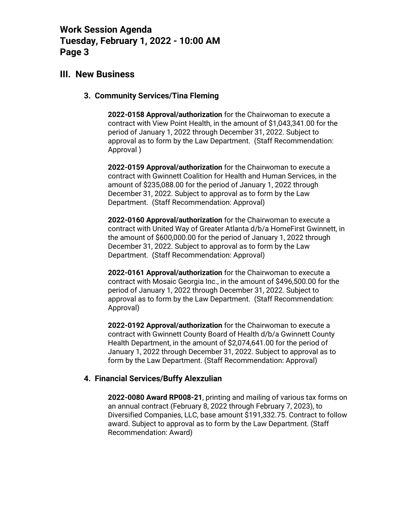# **III. New Business**

#### **3. Community Services/Tina Fleming**

**2022-0158 Approval/authorization** for the Chairwoman to execute a contract with View Point Health, in the amount of \$1,043,341.00 for the period of January 1, 2022 through December 31, 2022. Subject to approval as to form by the Law Department. (Staff Recommendation: Approval )

**2022-0159 Approval/authorization** for the Chairwoman to execute a contract with Gwinnett Coalition for Health and Human Services, in the amount of \$235,088.00 for the period of January 1, 2022 through December 31, 2022. Subject to approval as to form by the Law Department. (Staff Recommendation: Approval)

**2022-0160 Approval/authorization** for the Chairwoman to execute a contract with United Way of Greater Atlanta d/b/a HomeFirst Gwinnett, in the amount of \$600,000.00 for the period of January 1, 2022 through December 31, 2022. Subject to approval as to form by the Law Department. (Staff Recommendation: Approval)

**2022-0161 Approval/authorization** for the Chairwoman to execute a contract with Mosaic Georgia Inc., in the amount of \$496,500.00 for the period of January 1, 2022 through December 31, 2022. Subject to approval as to form by the Law Department. (Staff Recommendation: Approval)

**2022-0192 Approval/authorization** for the Chairwoman to execute a contract with Gwinnett County Board of Health d/b/a Gwinnett County Health Department, in the amount of \$2,074,641.00 for the period of January 1, 2022 through December 31, 2022. Subject to approval as to form by the Law Department. (Staff Recommendation: Approval)

#### **4. Financial Services/Buffy Alexzulian**

**2022-0080 Award RP008-21**, printing and mailing of various tax forms on an annual contract (February 8, 2022 through February 7, 2023), to Diversified Companies, LLC, base amount \$191,332.75. Contract to follow award. Subject to approval as to form by the Law Department. (Staff Recommendation: Award)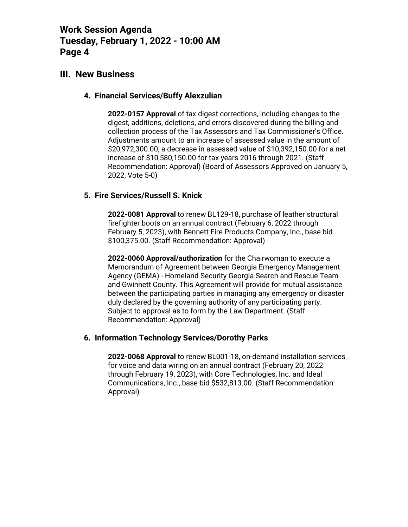# **III. New Business**

### **4. Financial Services/Buffy Alexzulian**

**2022-0157 Approval** of tax digest corrections, including changes to the digest, additions, deletions, and errors discovered during the billing and collection process of the Tax Assessors and Tax Commissioner's Office. Adjustments amount to an increase of assessed value in the amount of \$20,972,300.00, a decrease in assessed value of \$10,392,150.00 for a net increase of \$10,580,150.00 for tax years 2016 through 2021. (Staff Recommendation: Approval) (Board of Assessors Approved on January 5, 2022, Vote 5-0)

### **5. Fire Services/Russell S. Knick**

**2022-0081 Approval** to renew BL129-18, purchase of leather structural firefighter boots on an annual contract (February 6, 2022 through February 5, 2023), with Bennett Fire Products Company, Inc., base bid \$100,375.00. (Staff Recommendation: Approval)

**2022-0060 Approval/authorization** for the Chairwoman to execute a Memorandum of Agreement between Georgia Emergency Management Agency (GEMA) - Homeland Security Georgia Search and Rescue Team and Gwinnett County. This Agreement will provide for mutual assistance between the participating parties in managing any emergency or disaster duly declared by the governing authority of any participating party. Subject to approval as to form by the Law Department. (Staff Recommendation: Approval)

#### **6. Information Technology Services/Dorothy Parks**

**2022-0068 Approval** to renew BL001-18, on-demand installation services for voice and data wiring on an annual contract (February 20, 2022 through February 19, 2023), with Core Technologies, Inc. and Ideal Communications, Inc., base bid \$532,813.00. (Staff Recommendation: Approval)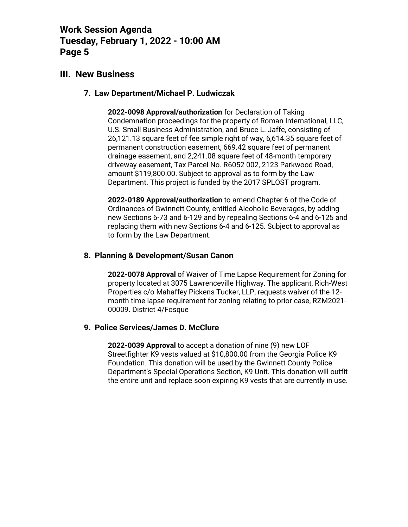## **III. New Business**

### **7. Law Department/Michael P. Ludwiczak**

**2022-0098 Approval/authorization** for Declaration of Taking Condemnation proceedings for the property of Roman International, LLC, U.S. Small Business Administration, and Bruce L. Jaffe, consisting of 26,121.13 square feet of fee simple right of way, 6,614.35 square feet of permanent construction easement, 669.42 square feet of permanent drainage easement, and 2,241.08 square feet of 48-month temporary driveway easement, Tax Parcel No. R6052 002, 2123 Parkwood Road, amount \$119,800.00. Subject to approval as to form by the Law Department. This project is funded by the 2017 SPLOST program.

**2022-0189 Approval/authorization** to amend Chapter 6 of the Code of Ordinances of Gwinnett County, entitled Alcoholic Beverages, by adding new Sections 6-73 and 6-129 and by repealing Sections 6-4 and 6-125 and replacing them with new Sections 6-4 and 6-125. Subject to approval as to form by the Law Department.

#### **8. Planning & Development/Susan Canon**

**2022-0078 Approval** of Waiver of Time Lapse Requirement for Zoning for property located at 3075 Lawrenceville Highway. The applicant, Rich-West Properties c/o Mahaffey Pickens Tucker, LLP, requests waiver of the 12 month time lapse requirement for zoning relating to prior case, RZM2021- 00009. District 4/Fosque

#### **9. Police Services/James D. McClure**

**2022-0039 Approval** to accept a donation of nine (9) new LOF Streetfighter K9 vests valued at \$10,800.00 from the Georgia Police K9 Foundation. This donation will be used by the Gwinnett County Police Department's Special Operations Section, K9 Unit. This donation will outfit the entire unit and replace soon expiring K9 vests that are currently in use.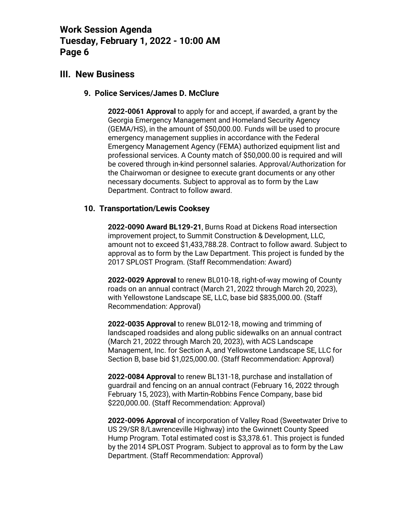# **III. New Business**

#### **9. Police Services/James D. McClure**

**2022-0061 Approval** to apply for and accept, if awarded, a grant by the Georgia Emergency Management and Homeland Security Agency (GEMA/HS), in the amount of \$50,000.00. Funds will be used to procure emergency management supplies in accordance with the Federal Emergency Management Agency (FEMA) authorized equipment list and professional services. A County match of \$50,000.00 is required and will be covered through in-kind personnel salaries. Approval/Authorization for the Chairwoman or designee to execute grant documents or any other necessary documents. Subject to approval as to form by the Law Department. Contract to follow award.

### **10. Transportation/Lewis Cooksey**

**2022-0090 Award BL129-21**, Burns Road at Dickens Road intersection improvement project, to Summit Construction & Development, LLC, amount not to exceed \$1,433,788.28. Contract to follow award. Subject to approval as to form by the Law Department. This project is funded by the 2017 SPLOST Program. (Staff Recommendation: Award)

**2022-0029 Approval** to renew BL010-18, right-of-way mowing of County roads on an annual contract (March 21, 2022 through March 20, 2023), with Yellowstone Landscape SE, LLC, base bid \$835,000.00. (Staff Recommendation: Approval)

**2022-0035 Approval** to renew BL012-18, mowing and trimming of landscaped roadsides and along public sidewalks on an annual contract (March 21, 2022 through March 20, 2023), with ACS Landscape Management, Inc. for Section A, and Yellowstone Landscape SE, LLC for Section B, base bid \$1,025,000.00. (Staff Recommendation: Approval)

**2022-0084 Approval** to renew BL131-18, purchase and installation of guardrail and fencing on an annual contract (February 16, 2022 through February 15, 2023), with Martin-Robbins Fence Company, base bid \$220,000.00. (Staff Recommendation: Approval)

**2022-0096 Approval** of incorporation of Valley Road (Sweetwater Drive to US 29/SR 8/Lawrenceville Highway) into the Gwinnett County Speed Hump Program. Total estimated cost is \$3,378.61. This project is funded by the 2014 SPLOST Program. Subject to approval as to form by the Law Department. (Staff Recommendation: Approval)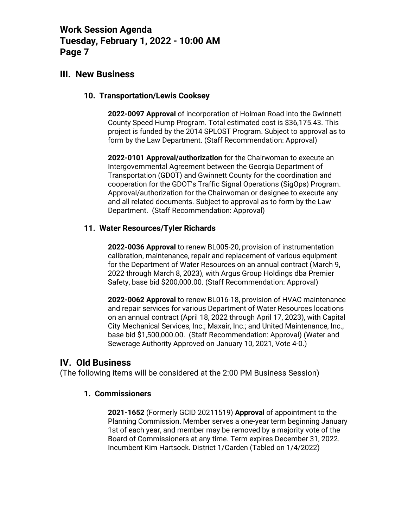# **III. New Business**

### **10. Transportation/Lewis Cooksey**

**2022-0097 Approval** of incorporation of Holman Road into the Gwinnett County Speed Hump Program. Total estimated cost is \$36,175.43. This project is funded by the 2014 SPLOST Program. Subject to approval as to form by the Law Department. (Staff Recommendation: Approval)

**2022-0101 Approval/authorization** for the Chairwoman to execute an Intergovernmental Agreement between the Georgia Department of Transportation (GDOT) and Gwinnett County for the coordination and cooperation for the GDOT's Traffic Signal Operations (SigOps) Program. Approval/authorization for the Chairwoman or designee to execute any and all related documents. Subject to approval as to form by the Law Department. (Staff Recommendation: Approval)

### **11. Water Resources/Tyler Richards**

**2022-0036 Approval** to renew BL005-20, provision of instrumentation calibration, maintenance, repair and replacement of various equipment for the Department of Water Resources on an annual contract (March 9, 2022 through March 8, 2023), with Argus Group Holdings dba Premier Safety, base bid \$200,000.00. (Staff Recommendation: Approval)

**2022-0062 Approval** to renew BL016-18, provision of HVAC maintenance and repair services for various Department of Water Resources locations on an annual contract (April 18, 2022 through April 17, 2023), with Capital City Mechanical Services, Inc.; Maxair, Inc.; and United Maintenance, Inc., base bid \$1,500,000.00. (Staff Recommendation: Approval) (Water and Sewerage Authority Approved on January 10, 2021, Vote 4-0.)

## **IV. Old Business**

(The following items will be considered at the 2:00 PM Business Session)

### **1. Commissioners**

**2021-1652** (Formerly GCID 20211519) **Approval** of appointment to the Planning Commission. Member serves a one-year term beginning January 1st of each year, and member may be removed by a majority vote of the Board of Commissioners at any time. Term expires December 31, 2022. Incumbent Kim Hartsock. District 1/Carden (Tabled on 1/4/2022)